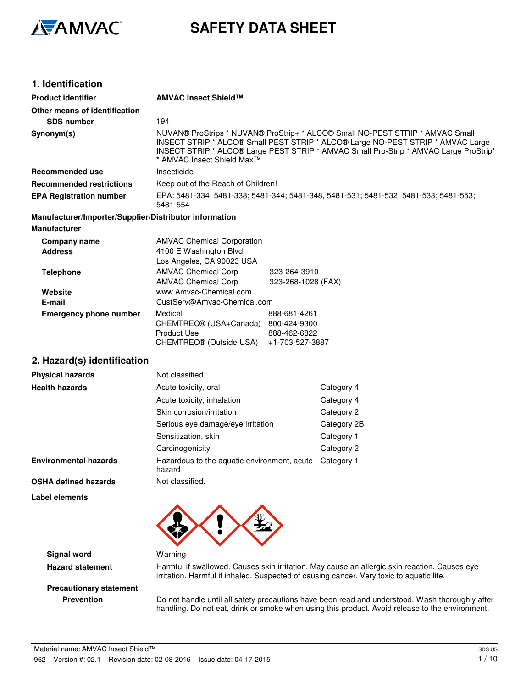

# **SAFETY DATA SHEET**

| 1. Identification                                                             |                                                                                          |                                                                 |                                                                                                                                                                                                                                                           |
|-------------------------------------------------------------------------------|------------------------------------------------------------------------------------------|-----------------------------------------------------------------|-----------------------------------------------------------------------------------------------------------------------------------------------------------------------------------------------------------------------------------------------------------|
| <b>Product identifier</b>                                                     | <b>AMVAC Insect Shield™</b>                                                              |                                                                 |                                                                                                                                                                                                                                                           |
| Other means of identification                                                 |                                                                                          |                                                                 |                                                                                                                                                                                                                                                           |
| <b>SDS number</b>                                                             | 194                                                                                      |                                                                 |                                                                                                                                                                                                                                                           |
| Synonym(s)                                                                    | * AMVAC Insect Shield Max <sup>™</sup>                                                   |                                                                 | NUVAN® ProStrips * NUVAN® ProStrip+ * ALCO® Small NO-PEST STRIP * AMVAC Small<br>INSECT STRIP * ALCO® Small PEST STRIP * ALCO® Large NO-PEST STRIP * AMVAC Large<br>INSECT STRIP * ALCO® Large PEST STRIP * AMVAC Small Pro-Strip * AMVAC Large ProStrip* |
| Recommended use                                                               | Insecticide                                                                              |                                                                 |                                                                                                                                                                                                                                                           |
| <b>Recommended restrictions</b>                                               | Keep out of the Reach of Children!                                                       |                                                                 |                                                                                                                                                                                                                                                           |
| <b>EPA Registration number</b>                                                | 5481-554                                                                                 |                                                                 | EPA: 5481-334; 5481-338; 5481-344; 5481-348, 5481-531; 5481-532; 5481-533; 5481-553;                                                                                                                                                                      |
| Manufacturer/Importer/Supplier/Distributor information<br><b>Manufacturer</b> |                                                                                          |                                                                 |                                                                                                                                                                                                                                                           |
| <b>Company name</b><br><b>Address</b>                                         | <b>AMVAC Chemical Corporation</b><br>4100 E Washington Blvd<br>Los Angeles, CA 90023 USA |                                                                 |                                                                                                                                                                                                                                                           |
| <b>Telephone</b>                                                              | <b>AMVAC Chemical Corp</b><br><b>AMVAC Chemical Corp</b>                                 | 323-264-3910<br>323-268-1028 (FAX)                              |                                                                                                                                                                                                                                                           |
| Website<br>E-mail                                                             | www.Amvac-Chemical.com<br>CustServ@Amvac-Chemical.com                                    |                                                                 |                                                                                                                                                                                                                                                           |
| <b>Emergency phone number</b>                                                 | Medical<br>CHEMTREC® (USA+Canada)<br><b>Product Use</b><br>CHEMTREC® (Outside USA)       | 888-681-4261<br>800-424-9300<br>888-462-6822<br>+1-703-527-3887 |                                                                                                                                                                                                                                                           |
| 2. Hazard(s) identification                                                   |                                                                                          |                                                                 |                                                                                                                                                                                                                                                           |
| <b>Physical hazards</b>                                                       | Not classified.                                                                          |                                                                 |                                                                                                                                                                                                                                                           |
| <b>Health hazards</b>                                                         | Acute toxicity, oral                                                                     |                                                                 | Category 4                                                                                                                                                                                                                                                |
|                                                                               | Acute toxicity, inhalation                                                               |                                                                 | Category 4                                                                                                                                                                                                                                                |
|                                                                               | Skin corrosion/irritation                                                                |                                                                 | Category 2                                                                                                                                                                                                                                                |
|                                                                               | Serious eye damage/eye irritation                                                        |                                                                 | Category 2B                                                                                                                                                                                                                                               |
|                                                                               | Sensitization, skin                                                                      |                                                                 | Category 1                                                                                                                                                                                                                                                |
|                                                                               | Carcinogenicity                                                                          |                                                                 | Category 2                                                                                                                                                                                                                                                |
| <b>Environmental hazards</b>                                                  | Hazardous to the aquatic environment, acute<br>hazard                                    |                                                                 | Category 1                                                                                                                                                                                                                                                |
| <b>OSHA defined hazards</b>                                                   | Not classified.                                                                          |                                                                 |                                                                                                                                                                                                                                                           |
| <b>Label elements</b>                                                         |                                                                                          |                                                                 |                                                                                                                                                                                                                                                           |
|                                                                               |                                                                                          |                                                                 |                                                                                                                                                                                                                                                           |

**Signal word Warning** 

**Hazard statement** Harmful if swallowed. Causes skin irritation. May cause an allergic skin reaction. Causes eye irritation. Harmful if inhaled. Suspected of causing cancer. Very toxic to aquatic life.

# **Precautionary statement**

**Prevention** Do not handle until all safety precautions have been read and understood. Wash thoroughly after handling. Do not eat, drink or smoke when using this product. Avoid release to the environment.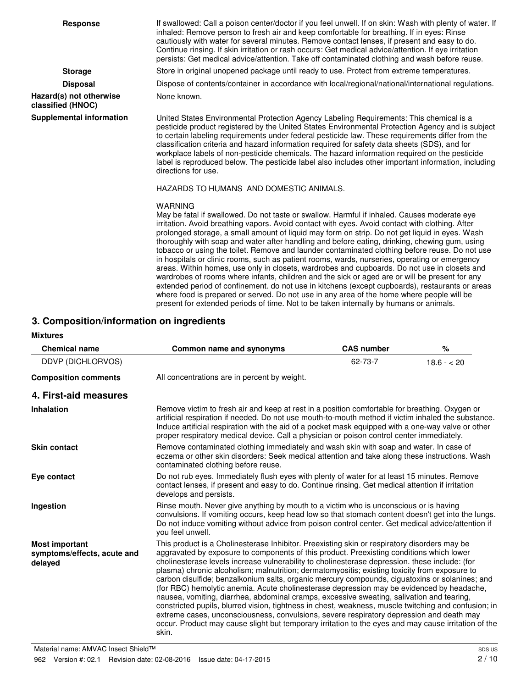| <b>Response</b>                              | If swallowed: Call a poison center/doctor if you feel unwell. If on skin: Wash with plenty of water. If<br>inhaled: Remove person to fresh air and keep comfortable for breathing. If in eyes: Rinse<br>cautiously with water for several minutes. Remove contact lenses, if present and easy to do.<br>Continue rinsing. If skin irritation or rash occurs: Get medical advice/attention. If eye irritation<br>persists: Get medical advice/attention. Take off contaminated clothing and wash before reuse.                                                                                                                                                                                                                                                                                                                                                                                                                                                                                                                                                                                                      |
|----------------------------------------------|--------------------------------------------------------------------------------------------------------------------------------------------------------------------------------------------------------------------------------------------------------------------------------------------------------------------------------------------------------------------------------------------------------------------------------------------------------------------------------------------------------------------------------------------------------------------------------------------------------------------------------------------------------------------------------------------------------------------------------------------------------------------------------------------------------------------------------------------------------------------------------------------------------------------------------------------------------------------------------------------------------------------------------------------------------------------------------------------------------------------|
| <b>Storage</b>                               | Store in original unopened package until ready to use. Protect from extreme temperatures.                                                                                                                                                                                                                                                                                                                                                                                                                                                                                                                                                                                                                                                                                                                                                                                                                                                                                                                                                                                                                          |
| <b>Disposal</b>                              | Dispose of contents/container in accordance with local/regional/national/international regulations.                                                                                                                                                                                                                                                                                                                                                                                                                                                                                                                                                                                                                                                                                                                                                                                                                                                                                                                                                                                                                |
| Hazard(s) not otherwise<br>classified (HNOC) | None known.                                                                                                                                                                                                                                                                                                                                                                                                                                                                                                                                                                                                                                                                                                                                                                                                                                                                                                                                                                                                                                                                                                        |
| <b>Supplemental information</b>              | United States Environmental Protection Agency Labeling Requirements: This chemical is a<br>pesticide product registered by the United States Environmental Protection Agency and is subject<br>to certain labeling requirements under federal pesticide law. These requirements differ from the<br>classification criteria and hazard information required for safety data sheets (SDS), and for<br>workplace labels of non-pesticide chemicals. The hazard information required on the pesticide<br>label is reproduced below. The pesticide label also includes other important information, including<br>directions for use.                                                                                                                                                                                                                                                                                                                                                                                                                                                                                    |
|                                              | HAZARDS TO HUMANS AND DOMESTIC ANIMALS.                                                                                                                                                                                                                                                                                                                                                                                                                                                                                                                                                                                                                                                                                                                                                                                                                                                                                                                                                                                                                                                                            |
|                                              | <b>WARNING</b><br>May be fatal if swallowed. Do not taste or swallow. Harmful if inhaled. Causes moderate eye<br>irritation. Avoid breathing vapors. Avoid contact with eyes. Avoid contact with clothing. After<br>prolonged storage, a small amount of liquid may form on strip. Do not get liquid in eyes. Wash<br>thoroughly with soap and water after handling and before eating, drinking, chewing gum, using<br>tobacco or using the toilet. Remove and launder contaminated clothing before reuse. Do not use<br>in hospitals or clinic rooms, such as patient rooms, wards, nurseries, operating or emergency<br>areas. Within homes, use only in closets, wardrobes and cupboards. Do not use in closets and<br>wardrobes of rooms where infants, children and the sick or aged are or will be present for any<br>extended period of confinement. do not use in kitchens (except cupboards), restaurants or areas<br>where food is prepared or served. Do not use in any area of the home where people will be<br>present for extended periods of time. Not to be taken internally by humans or animals. |

# **3. Composition/information on ingredients**

#### **Mixtures**

| <b>Chemical name</b>                                            | Common name and synonyms                                                                                                                                                                                                                                                                                                                                                                                                                                                                                                                                                                                                                                                                                                                                                                                                                                                                                                                                                                                     | <b>CAS number</b> | $\%$        |
|-----------------------------------------------------------------|--------------------------------------------------------------------------------------------------------------------------------------------------------------------------------------------------------------------------------------------------------------------------------------------------------------------------------------------------------------------------------------------------------------------------------------------------------------------------------------------------------------------------------------------------------------------------------------------------------------------------------------------------------------------------------------------------------------------------------------------------------------------------------------------------------------------------------------------------------------------------------------------------------------------------------------------------------------------------------------------------------------|-------------------|-------------|
| DDVP (DICHLORVOS)                                               |                                                                                                                                                                                                                                                                                                                                                                                                                                                                                                                                                                                                                                                                                                                                                                                                                                                                                                                                                                                                              | 62-73-7           | $18.6 - 20$ |
| <b>Composition comments</b>                                     | All concentrations are in percent by weight.                                                                                                                                                                                                                                                                                                                                                                                                                                                                                                                                                                                                                                                                                                                                                                                                                                                                                                                                                                 |                   |             |
| 4. First-aid measures                                           |                                                                                                                                                                                                                                                                                                                                                                                                                                                                                                                                                                                                                                                                                                                                                                                                                                                                                                                                                                                                              |                   |             |
| <b>Inhalation</b>                                               | Remove victim to fresh air and keep at rest in a position comfortable for breathing. Oxygen or<br>artificial respiration if needed. Do not use mouth-to-mouth method if victim inhaled the substance.<br>Induce artificial respiration with the aid of a pocket mask equipped with a one-way valve or other<br>proper respiratory medical device. Call a physician or poison control center immediately.                                                                                                                                                                                                                                                                                                                                                                                                                                                                                                                                                                                                     |                   |             |
| <b>Skin contact</b>                                             | Remove contaminated clothing immediately and wash skin with soap and water. In case of<br>eczema or other skin disorders: Seek medical attention and take along these instructions. Wash<br>contaminated clothing before reuse.                                                                                                                                                                                                                                                                                                                                                                                                                                                                                                                                                                                                                                                                                                                                                                              |                   |             |
| Eye contact                                                     | Do not rub eyes. Immediately flush eyes with plenty of water for at least 15 minutes. Remove<br>contact lenses, if present and easy to do. Continue rinsing. Get medical attention if irritation<br>develops and persists.                                                                                                                                                                                                                                                                                                                                                                                                                                                                                                                                                                                                                                                                                                                                                                                   |                   |             |
| Ingestion                                                       | Rinse mouth. Never give anything by mouth to a victim who is unconscious or is having<br>convulsions. If vomiting occurs, keep head low so that stomach content doesn't get into the lungs.<br>Do not induce vomiting without advice from poison control center. Get medical advice/attention if<br>vou feel unwell.                                                                                                                                                                                                                                                                                                                                                                                                                                                                                                                                                                                                                                                                                         |                   |             |
| <b>Most important</b><br>symptoms/effects, acute and<br>delayed | This product is a Cholinesterase Inhibitor. Preexisting skin or respiratory disorders may be<br>aggravated by exposure to components of this product. Preexisting conditions which lower<br>cholinesterase levels increase vulnerability to cholinesterase depression. these include: (for<br>plasma) chronic alcoholism; malnutrition; dermatomyositis; existing toxicity from exposure to<br>carbon disulfide; benzalkonium salts, organic mercury compounds, ciguatoxins or solanines; and<br>(for RBC) hemolytic anemia. Acute cholinesterase depression may be evidenced by headache,<br>nausea, vomiting, diarrhea, abdominal cramps, excessive sweating, salivation and tearing,<br>constricted pupils, blurred vision, tightness in chest, weakness, muscle twitching and confusion; in<br>extreme cases, unconsciousness, convulsions, severe respiratory depression and death may<br>occur. Product may cause slight but temporary irritation to the eyes and may cause irritation of the<br>skin. |                   |             |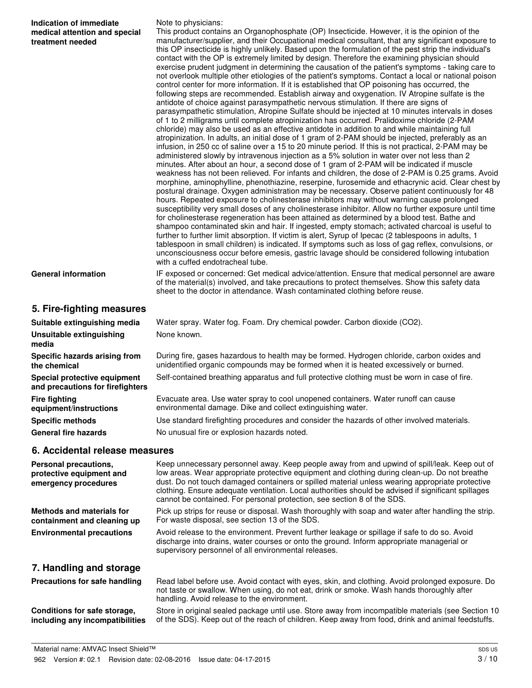| Indication of immediate<br>medical attention and special<br>treatment needed | Note to physicians:<br>This product contains an Organophosphate (OP) Insecticide. However, it is the opinion of the<br>manufacturer/supplier, and their Occupational medical consultant, that any significant exposure to<br>this OP insecticide is highly unlikely. Based upon the formulation of the pest strip the individual's<br>contact with the OP is extremely limited by design. Therefore the examining physician should<br>exercise prudent judgment in determining the causation of the patient's symptoms - taking care to<br>not overlook multiple other etiologies of the patient's symptoms. Contact a local or national poison<br>control center for more information. If it is established that OP poisoning has occurred, the<br>following steps are recommended. Establish airway and oxygenation. IV Atropine sulfate is the<br>antidote of choice against parasympathetic nervous stimulation. If there are signs of<br>parasympathetic stimulation, Atropine Sulfate should be injected at 10 minutes intervals in doses<br>of 1 to 2 milligrams until complete atropinization has occurred. Pralidoxime chloride (2-PAM<br>chloride) may also be used as an effective antidote in addition to and while maintaining full<br>atropinization. In adults, an initial dose of 1 gram of 2-PAM should be injected, preferably as an<br>infusion, in 250 cc of saline over a 15 to 20 minute period. If this is not practical, 2-PAM may be<br>administered slowly by intravenous injection as a 5% solution in water over not less than 2<br>minutes. After about an hour, a second dose of 1 gram of 2-PAM will be indicated if muscle<br>weakness has not been relieved. For infants and children, the dose of 2-PAM is 0.25 grams. Avoid<br>morphine, aminophylline, phenothiazine, reserpine, furosemide and ethacrynic acid. Clear chest by<br>postural drainage. Oxygen administration may be necessary. Observe patient continuously for 48<br>hours. Repeated exposure to cholinesterase inhibitors may without warning cause prolonged<br>susceptibility very small doses of any cholinesterase inhibitor. Allow no further exposure until time<br>for cholinesterase regeneration has been attained as determined by a blood test. Bathe and<br>shampoo contaminated skin and hair. If ingested, empty stomach; activated charcoal is useful to |
|------------------------------------------------------------------------------|------------------------------------------------------------------------------------------------------------------------------------------------------------------------------------------------------------------------------------------------------------------------------------------------------------------------------------------------------------------------------------------------------------------------------------------------------------------------------------------------------------------------------------------------------------------------------------------------------------------------------------------------------------------------------------------------------------------------------------------------------------------------------------------------------------------------------------------------------------------------------------------------------------------------------------------------------------------------------------------------------------------------------------------------------------------------------------------------------------------------------------------------------------------------------------------------------------------------------------------------------------------------------------------------------------------------------------------------------------------------------------------------------------------------------------------------------------------------------------------------------------------------------------------------------------------------------------------------------------------------------------------------------------------------------------------------------------------------------------------------------------------------------------------------------------------------------------------------------------------------------------------------------------------------------------------------------------------------------------------------------------------------------------------------------------------------------------------------------------------------------------------------------------------------------------------------------------------------------------------------------------------------------------------------------------------------------------------------------------------------------|
|                                                                              | further to further limit absorption. If victim is alert, Syrup of Ipecac (2 tablespoons in adults, 1<br>tablespoon in small children) is indicated. If symptoms such as loss of gag reflex, convulsions, or<br>unconsciousness occur before emesis, gastric lavage should be considered following intubation<br>with a cuffed endotracheal tube.                                                                                                                                                                                                                                                                                                                                                                                                                                                                                                                                                                                                                                                                                                                                                                                                                                                                                                                                                                                                                                                                                                                                                                                                                                                                                                                                                                                                                                                                                                                                                                                                                                                                                                                                                                                                                                                                                                                                                                                                                             |
| <b>General information</b>                                                   | IF exposed or concerned: Get medical advice/attention. Ensure that medical personnel are aware<br>of the material(s) involved, and take precautions to protect themselves. Show this safety data<br>sheet to the doctor in attendance. Wash contaminated clothing before reuse.                                                                                                                                                                                                                                                                                                                                                                                                                                                                                                                                                                                                                                                                                                                                                                                                                                                                                                                                                                                                                                                                                                                                                                                                                                                                                                                                                                                                                                                                                                                                                                                                                                                                                                                                                                                                                                                                                                                                                                                                                                                                                              |
| 5. Fire-fighting measures                                                    |                                                                                                                                                                                                                                                                                                                                                                                                                                                                                                                                                                                                                                                                                                                                                                                                                                                                                                                                                                                                                                                                                                                                                                                                                                                                                                                                                                                                                                                                                                                                                                                                                                                                                                                                                                                                                                                                                                                                                                                                                                                                                                                                                                                                                                                                                                                                                                              |
| Suitable extinguishing media                                                 | Water spray. Water fog. Foam. Dry chemical powder. Carbon dioxide (CO2).                                                                                                                                                                                                                                                                                                                                                                                                                                                                                                                                                                                                                                                                                                                                                                                                                                                                                                                                                                                                                                                                                                                                                                                                                                                                                                                                                                                                                                                                                                                                                                                                                                                                                                                                                                                                                                                                                                                                                                                                                                                                                                                                                                                                                                                                                                     |
| <b>Unsuitable extinguishing</b><br>media                                     | None known.                                                                                                                                                                                                                                                                                                                                                                                                                                                                                                                                                                                                                                                                                                                                                                                                                                                                                                                                                                                                                                                                                                                                                                                                                                                                                                                                                                                                                                                                                                                                                                                                                                                                                                                                                                                                                                                                                                                                                                                                                                                                                                                                                                                                                                                                                                                                                                  |
| Specific hazards arising from<br>the chemical                                | During fire, gases hazardous to health may be formed. Hydrogen chloride, carbon oxides and<br>unidentified organic compounds may be formed when it is heated excessively or burned.                                                                                                                                                                                                                                                                                                                                                                                                                                                                                                                                                                                                                                                                                                                                                                                                                                                                                                                                                                                                                                                                                                                                                                                                                                                                                                                                                                                                                                                                                                                                                                                                                                                                                                                                                                                                                                                                                                                                                                                                                                                                                                                                                                                          |
| Special protective equipment<br>and precautions for firefighters             | Self-contained breathing apparatus and full protective clothing must be worn in case of fire.                                                                                                                                                                                                                                                                                                                                                                                                                                                                                                                                                                                                                                                                                                                                                                                                                                                                                                                                                                                                                                                                                                                                                                                                                                                                                                                                                                                                                                                                                                                                                                                                                                                                                                                                                                                                                                                                                                                                                                                                                                                                                                                                                                                                                                                                                |
| <b>Fire fighting</b><br>equipment/instructions                               | Evacuate area. Use water spray to cool unopened containers. Water runoff can cause<br>environmental damage. Dike and collect extinguishing water.                                                                                                                                                                                                                                                                                                                                                                                                                                                                                                                                                                                                                                                                                                                                                                                                                                                                                                                                                                                                                                                                                                                                                                                                                                                                                                                                                                                                                                                                                                                                                                                                                                                                                                                                                                                                                                                                                                                                                                                                                                                                                                                                                                                                                            |
| <b>Specific methods</b>                                                      | Use standard firefighting procedures and consider the hazards of other involved materials.                                                                                                                                                                                                                                                                                                                                                                                                                                                                                                                                                                                                                                                                                                                                                                                                                                                                                                                                                                                                                                                                                                                                                                                                                                                                                                                                                                                                                                                                                                                                                                                                                                                                                                                                                                                                                                                                                                                                                                                                                                                                                                                                                                                                                                                                                   |
| <b>General fire hazards</b>                                                  | No unusual fire or explosion hazards noted.                                                                                                                                                                                                                                                                                                                                                                                                                                                                                                                                                                                                                                                                                                                                                                                                                                                                                                                                                                                                                                                                                                                                                                                                                                                                                                                                                                                                                                                                                                                                                                                                                                                                                                                                                                                                                                                                                                                                                                                                                                                                                                                                                                                                                                                                                                                                  |
| 6. Accidental release measures                                               |                                                                                                                                                                                                                                                                                                                                                                                                                                                                                                                                                                                                                                                                                                                                                                                                                                                                                                                                                                                                                                                                                                                                                                                                                                                                                                                                                                                                                                                                                                                                                                                                                                                                                                                                                                                                                                                                                                                                                                                                                                                                                                                                                                                                                                                                                                                                                                              |
| Personal precautions,<br>protective equipment and<br>emergency procedures    | Keep unnecessary personnel away. Keep people away from and upwind of spill/leak. Keep out of<br>low areas. Wear appropriate protective equipment and clothing during clean-up. Do not breathe<br>dust. Do not touch damaged containers or spilled material unless wearing appropriate protective<br>clothing. Ensure adequate ventilation. Local authorities should be advised if significant spillages<br>cannot be contained. For personal protection, see section 8 of the SDS.                                                                                                                                                                                                                                                                                                                                                                                                                                                                                                                                                                                                                                                                                                                                                                                                                                                                                                                                                                                                                                                                                                                                                                                                                                                                                                                                                                                                                                                                                                                                                                                                                                                                                                                                                                                                                                                                                           |
| <b>Methods and materials for</b><br>containment and cleaning up              | Pick up strips for reuse or disposal. Wash thoroughly with soap and water after handling the strip.<br>For waste disposal, see section 13 of the SDS.                                                                                                                                                                                                                                                                                                                                                                                                                                                                                                                                                                                                                                                                                                                                                                                                                                                                                                                                                                                                                                                                                                                                                                                                                                                                                                                                                                                                                                                                                                                                                                                                                                                                                                                                                                                                                                                                                                                                                                                                                                                                                                                                                                                                                        |
| <b>Environmental precautions</b>                                             | Avoid release to the environment. Prevent further leakage or spillage if safe to do so. Avoid<br>discharge into drains, water courses or onto the ground. Inform appropriate managerial or<br>supervisory personnel of all environmental releases.                                                                                                                                                                                                                                                                                                                                                                                                                                                                                                                                                                                                                                                                                                                                                                                                                                                                                                                                                                                                                                                                                                                                                                                                                                                                                                                                                                                                                                                                                                                                                                                                                                                                                                                                                                                                                                                                                                                                                                                                                                                                                                                           |
| 7. Handling and storage                                                      |                                                                                                                                                                                                                                                                                                                                                                                                                                                                                                                                                                                                                                                                                                                                                                                                                                                                                                                                                                                                                                                                                                                                                                                                                                                                                                                                                                                                                                                                                                                                                                                                                                                                                                                                                                                                                                                                                                                                                                                                                                                                                                                                                                                                                                                                                                                                                                              |

Read label before use. Avoid contact with eyes, skin, and clothing. Avoid prolonged exposure. Do not taste or swallow. When using, do not eat, drink or smoke. Wash hands thoroughly after handling. Avoid release to the environment. **Precautions for safe handling**

**Conditions for safe storage, including any incompatibilities**

Store in original sealed package until use. Store away from incompatible materials (see Section 10 of the SDS). Keep out of the reach of children. Keep away from food, drink and animal feedstuffs.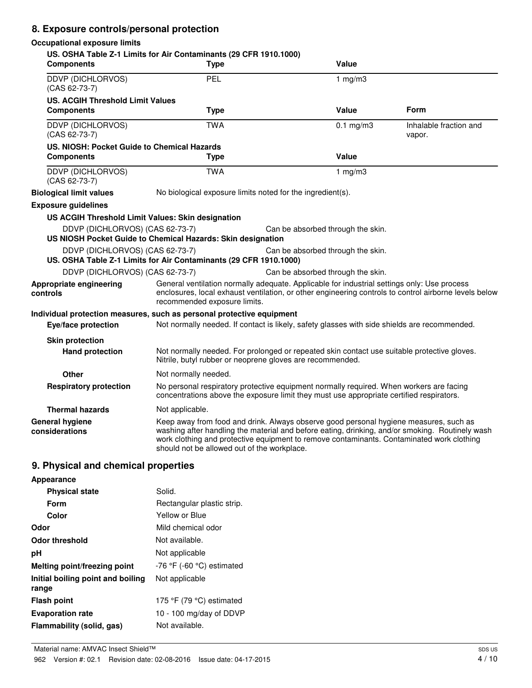# **8. Exposure controls/personal protection**

#### **Occupational exposure limits**

| <b>Components</b>                                            | US. OSHA Table Z-1 Limits for Air Contaminants (29 CFR 1910.1000)<br><b>Type</b>                                                                                                                                                                                                                                                     | Value                             |                                  |
|--------------------------------------------------------------|--------------------------------------------------------------------------------------------------------------------------------------------------------------------------------------------------------------------------------------------------------------------------------------------------------------------------------------|-----------------------------------|----------------------------------|
| DDVP (DICHLORVOS)<br>(CAS 62-73-7)                           | PEL                                                                                                                                                                                                                                                                                                                                  | 1 $mg/m3$                         |                                  |
| <b>US. ACGIH Threshold Limit Values</b><br><b>Components</b> | <b>Type</b>                                                                                                                                                                                                                                                                                                                          | Value                             | <b>Form</b>                      |
| DDVP (DICHLORVOS)<br>$(CAS 62-73-7)$                         | <b>TWA</b>                                                                                                                                                                                                                                                                                                                           | $0.1$ mg/m3                       | Inhalable fraction and<br>vapor. |
| US. NIOSH: Pocket Guide to Chemical Hazards                  |                                                                                                                                                                                                                                                                                                                                      |                                   |                                  |
| <b>Components</b>                                            | <b>Type</b>                                                                                                                                                                                                                                                                                                                          | Value                             |                                  |
| DDVP (DICHLORVOS)<br>(CAS 62-73-7)                           | <b>TWA</b>                                                                                                                                                                                                                                                                                                                           | 1 $mg/m3$                         |                                  |
| <b>Biological limit values</b>                               | No biological exposure limits noted for the ingredient(s).                                                                                                                                                                                                                                                                           |                                   |                                  |
| <b>Exposure guidelines</b>                                   |                                                                                                                                                                                                                                                                                                                                      |                                   |                                  |
| US ACGIH Threshold Limit Values: Skin designation            |                                                                                                                                                                                                                                                                                                                                      |                                   |                                  |
| DDVP (DICHLORVOS) (CAS 62-73-7)                              | US NIOSH Pocket Guide to Chemical Hazards: Skin designation                                                                                                                                                                                                                                                                          | Can be absorbed through the skin. |                                  |
|                                                              |                                                                                                                                                                                                                                                                                                                                      |                                   |                                  |
| DDVP (DICHLORVOS) (CAS 62-73-7)                              | US. OSHA Table Z-1 Limits for Air Contaminants (29 CFR 1910.1000)                                                                                                                                                                                                                                                                    | Can be absorbed through the skin. |                                  |
| DDVP (DICHLORVOS) (CAS 62-73-7)                              |                                                                                                                                                                                                                                                                                                                                      | Can be absorbed through the skin. |                                  |
| Appropriate engineering<br>controls                          | General ventilation normally adequate. Applicable for industrial settings only: Use process<br>enclosures, local exhaust ventilation, or other engineering controls to control airborne levels below<br>recommended exposure limits.                                                                                                 |                                   |                                  |
|                                                              | Individual protection measures, such as personal protective equipment                                                                                                                                                                                                                                                                |                                   |                                  |
| Eye/face protection                                          | Not normally needed. If contact is likely, safety glasses with side shields are recommended.                                                                                                                                                                                                                                         |                                   |                                  |
| <b>Skin protection</b><br><b>Hand protection</b>             | Not normally needed. For prolonged or repeated skin contact use suitable protective gloves.<br>Nitrile, butyl rubber or neoprene gloves are recommended.                                                                                                                                                                             |                                   |                                  |
| Other                                                        | Not normally needed.                                                                                                                                                                                                                                                                                                                 |                                   |                                  |
| <b>Respiratory protection</b>                                | No personal respiratory protective equipment normally required. When workers are facing<br>concentrations above the exposure limit they must use appropriate certified respirators.                                                                                                                                                  |                                   |                                  |
| <b>Thermal hazards</b>                                       | Not applicable.                                                                                                                                                                                                                                                                                                                      |                                   |                                  |
| General hygiene<br>considerations                            | Keep away from food and drink. Always observe good personal hygiene measures, such as<br>washing after handling the material and before eating, drinking, and/or smoking. Routinely wash<br>work clothing and protective equipment to remove contaminants. Contaminated work clothing<br>should not be allowed out of the workplace. |                                   |                                  |

# **9. Physical and chemical properties**

| Appearance                                 |                                |
|--------------------------------------------|--------------------------------|
| <b>Physical state</b>                      | Solid.                         |
| Form                                       | Rectangular plastic strip.     |
| Color                                      | Yellow or Blue                 |
| Odor                                       | Mild chemical odor             |
| Odor threshold                             | Not available.                 |
| рH                                         | Not applicable                 |
| Melting point/freezing point               | $-76$ °F ( $-60$ °C) estimated |
| Initial boiling point and boiling<br>range | Not applicable                 |
| Flash point                                | 175 °F (79 °C) estimated       |
| <b>Evaporation rate</b>                    | 10 - 100 mg/day of DDVP        |
| Flammability (solid, gas)                  | Not available.                 |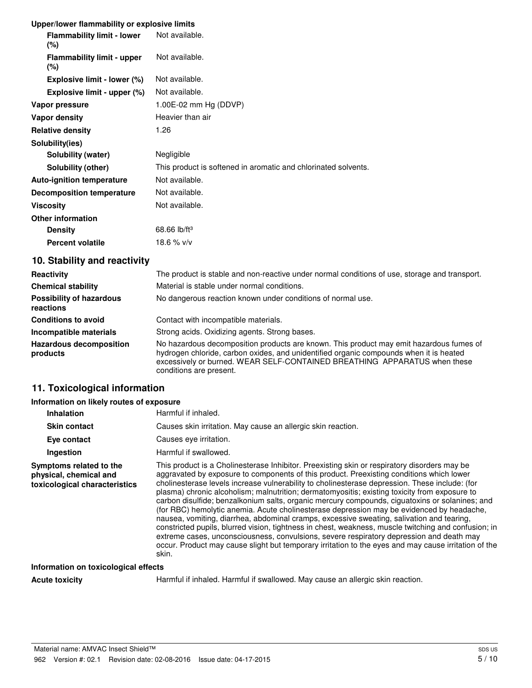#### **Upper/lower flammability or explosive limits**

| <b>Flammability limit - lower</b><br>$(\% )$ | Not available.                                                 |
|----------------------------------------------|----------------------------------------------------------------|
| <b>Flammability limit - upper</b><br>$(\% )$ | Not available.                                                 |
| Explosive limit - lower (%)                  | Not available.                                                 |
| Explosive limit - upper (%)                  | Not available.                                                 |
| Vapor pressure                               | $1.00E-02$ mm Hg (DDVP)                                        |
| Vapor density                                | Heavier than air                                               |
| <b>Relative density</b>                      | 1.26                                                           |
| Solubility(ies)                              |                                                                |
| Solubility (water)                           | Negligible                                                     |
| Solubility (other)                           | This product is softened in aromatic and chlorinated solvents. |
| <b>Auto-ignition temperature</b>             | Not available.                                                 |
| <b>Decomposition temperature</b>             | Not available.                                                 |
| Viscosity                                    | Not available.                                                 |
| <b>Other information</b>                     |                                                                |
| <b>Density</b>                               | 68.66 $lb/ft^3$                                                |
| <b>Percent volatile</b>                      | 18.6 $%$ v/v                                                   |

# **10. Stability and reactivity**

| Reactivity                                   | The product is stable and non-reactive under normal conditions of use, storage and transport.                                                                                                                                                                                             |
|----------------------------------------------|-------------------------------------------------------------------------------------------------------------------------------------------------------------------------------------------------------------------------------------------------------------------------------------------|
| <b>Chemical stability</b>                    | Material is stable under normal conditions.                                                                                                                                                                                                                                               |
| <b>Possibility of hazardous</b><br>reactions | No dangerous reaction known under conditions of normal use.                                                                                                                                                                                                                               |
| <b>Conditions to avoid</b>                   | Contact with incompatible materials.                                                                                                                                                                                                                                                      |
| Incompatible materials                       | Strong acids. Oxidizing agents. Strong bases.                                                                                                                                                                                                                                             |
| <b>Hazardous decomposition</b><br>products   | No hazardous decomposition products are known. This product may emit hazardous fumes of<br>hydrogen chloride, carbon oxides, and unidentified organic compounds when it is heated<br>excessively or burned. WEAR SELF-CONTAINED BREATHING APPARATUS when these<br>conditions are present. |

# **11. Toxicological information**

#### **Information on likely routes of exposure**

| <b>Inhalation</b>                                                                  | Harmful if inhaled.                                                                                                                                                                                                                                                                                                                                                                                                                                                                                                                                                                                                                                                                                                                                                                                                                                                                                                                                                                                          |
|------------------------------------------------------------------------------------|--------------------------------------------------------------------------------------------------------------------------------------------------------------------------------------------------------------------------------------------------------------------------------------------------------------------------------------------------------------------------------------------------------------------------------------------------------------------------------------------------------------------------------------------------------------------------------------------------------------------------------------------------------------------------------------------------------------------------------------------------------------------------------------------------------------------------------------------------------------------------------------------------------------------------------------------------------------------------------------------------------------|
| <b>Skin contact</b>                                                                | Causes skin irritation. May cause an allergic skin reaction.                                                                                                                                                                                                                                                                                                                                                                                                                                                                                                                                                                                                                                                                                                                                                                                                                                                                                                                                                 |
| Eye contact                                                                        | Causes eve irritation.                                                                                                                                                                                                                                                                                                                                                                                                                                                                                                                                                                                                                                                                                                                                                                                                                                                                                                                                                                                       |
| Ingestion                                                                          | Harmful if swallowed.                                                                                                                                                                                                                                                                                                                                                                                                                                                                                                                                                                                                                                                                                                                                                                                                                                                                                                                                                                                        |
| Symptoms related to the<br>physical, chemical and<br>toxicological characteristics | This product is a Cholinesterase Inhibitor. Preexisting skin or respiratory disorders may be<br>aggravated by exposure to components of this product. Preexisting conditions which lower<br>cholinesterase levels increase vulnerability to cholinesterase depression. These include: (for<br>plasma) chronic alcoholism; malnutrition; dermatomyositis; existing toxicity from exposure to<br>carbon disulfide; benzalkonium salts, organic mercury compounds, ciguatoxins or solanines; and<br>(for RBC) hemolytic anemia. Acute cholinesterase depression may be evidenced by headache,<br>nausea, vomiting, diarrhea, abdominal cramps, excessive sweating, salivation and tearing,<br>constricted pupils, blurred vision, tightness in chest, weakness, muscle twitching and confusion; in<br>extreme cases, unconsciousness, convulsions, severe respiratory depression and death may<br>occur. Product may cause slight but temporary irritation to the eyes and may cause irritation of the<br>skin. |
| Information on toxicological effects                                               |                                                                                                                                                                                                                                                                                                                                                                                                                                                                                                                                                                                                                                                                                                                                                                                                                                                                                                                                                                                                              |

Acute toxicity **Harmful if inhaled. Harmful if swallowed. May cause an allergic skin reaction.**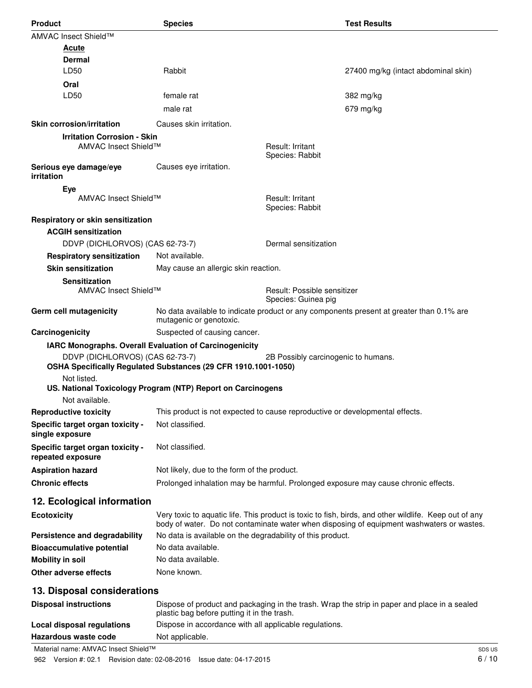| <b>Product</b>                       | <b>Species</b>                                                               |                                                    | <b>Test Results</b>                                                                                   |
|--------------------------------------|------------------------------------------------------------------------------|----------------------------------------------------|-------------------------------------------------------------------------------------------------------|
| AMVAC Insect Shield™                 |                                                                              |                                                    |                                                                                                       |
| Acute                                |                                                                              |                                                    |                                                                                                       |
| Dermal                               |                                                                              |                                                    |                                                                                                       |
| LD50                                 | Rabbit                                                                       |                                                    | 27400 mg/kg (intact abdominal skin)                                                                   |
| Oral                                 |                                                                              |                                                    |                                                                                                       |
| LD50                                 | female rat                                                                   |                                                    | 382 mg/kg                                                                                             |
|                                      | male rat                                                                     |                                                    | 679 mg/kg                                                                                             |
| <b>Skin corrosion/irritation</b>     | Causes skin irritation.                                                      |                                                    |                                                                                                       |
| <b>Irritation Corrosion - Skin</b>   |                                                                              |                                                    |                                                                                                       |
| AMVAC Insect Shield™                 |                                                                              | Result: Irritant                                   |                                                                                                       |
|                                      |                                                                              | Species: Rabbit                                    |                                                                                                       |
| Serious eye damage/eye<br>irritation | Causes eye irritation.                                                       |                                                    |                                                                                                       |
| Eye                                  |                                                                              |                                                    |                                                                                                       |
| AMVAC Insect Shield™                 |                                                                              | Result: Irritant                                   |                                                                                                       |
|                                      |                                                                              | Species: Rabbit                                    |                                                                                                       |
| Respiratory or skin sensitization    |                                                                              |                                                    |                                                                                                       |
| <b>ACGIH sensitization</b>           |                                                                              |                                                    |                                                                                                       |
| DDVP (DICHLORVOS) (CAS 62-73-7)      |                                                                              | Dermal sensitization                               |                                                                                                       |
| <b>Respiratory sensitization</b>     | Not available.                                                               |                                                    |                                                                                                       |
| <b>Skin sensitization</b>            | May cause an allergic skin reaction.                                         |                                                    |                                                                                                       |
| <b>Sensitization</b>                 |                                                                              |                                                    |                                                                                                       |
| AMVAC Insect Shield™                 |                                                                              | Result: Possible sensitizer<br>Species: Guinea pig |                                                                                                       |
| Germ cell mutagenicity               |                                                                              |                                                    | No data available to indicate product or any components present at greater than 0.1% are              |
|                                      | mutagenic or genotoxic.                                                      |                                                    |                                                                                                       |
| Carcinogenicity                      | Suspected of causing cancer.                                                 |                                                    |                                                                                                       |
|                                      | IARC Monographs. Overall Evaluation of Carcinogenicity                       |                                                    |                                                                                                       |
| DDVP (DICHLORVOS) (CAS 62-73-7)      |                                                                              | 2B Possibly carcinogenic to humans.                |                                                                                                       |
|                                      | OSHA Specifically Regulated Substances (29 CFR 1910.1001-1050)               |                                                    |                                                                                                       |
| Not listed.                          | US. National Toxicology Program (NTP) Report on Carcinogens                  |                                                    |                                                                                                       |
| Not available.                       |                                                                              |                                                    |                                                                                                       |
| <b>Reproductive toxicity</b>         | This product is not expected to cause reproductive or developmental effects. |                                                    |                                                                                                       |
| Specific target organ toxicity -     | Not classified.                                                              |                                                    |                                                                                                       |
| single exposure                      |                                                                              |                                                    |                                                                                                       |
| Specific target organ toxicity -     | Not classified.                                                              |                                                    |                                                                                                       |
| repeated exposure                    |                                                                              |                                                    |                                                                                                       |
| <b>Aspiration hazard</b>             | Not likely, due to the form of the product.                                  |                                                    |                                                                                                       |
| <b>Chronic effects</b>               |                                                                              |                                                    | Prolonged inhalation may be harmful. Prolonged exposure may cause chronic effects.                    |
| 12. Ecological information           |                                                                              |                                                    |                                                                                                       |
| <b>Ecotoxicity</b>                   |                                                                              |                                                    | Very toxic to aquatic life. This product is toxic to fish, birds, and other wildlife. Keep out of any |
|                                      |                                                                              |                                                    | body of water. Do not contaminate water when disposing of equipment washwaters or wastes.             |
| Persistence and degradability        | No data is available on the degradability of this product.                   |                                                    |                                                                                                       |
| <b>Bioaccumulative potential</b>     | No data available.                                                           |                                                    |                                                                                                       |
| <b>Mobility in soil</b>              | No data available.                                                           |                                                    |                                                                                                       |
| Other adverse effects                | None known.                                                                  |                                                    |                                                                                                       |
| 13. Disposal considerations          |                                                                              |                                                    |                                                                                                       |
|                                      |                                                                              |                                                    |                                                                                                       |
| <b>Disposal instructions</b>         | plastic bag before putting it in the trash.                                  |                                                    | Dispose of product and packaging in the trash. Wrap the strip in paper and place in a sealed          |
| <b>Local disposal regulations</b>    | Dispose in accordance with all applicable regulations.                       |                                                    |                                                                                                       |
| <b>Hazardous waste code</b>          | Not applicable.                                                              |                                                    |                                                                                                       |
| Material name: AMVAC Insect Shield™  |                                                                              |                                                    | SDS                                                                                                   |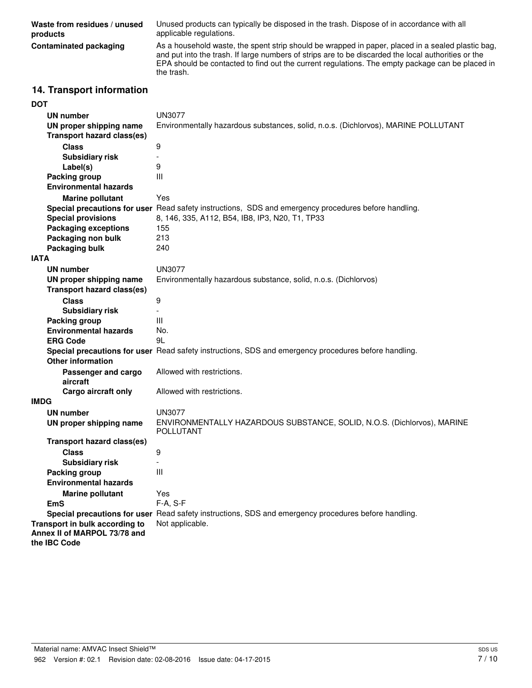| Waste from residues / unused<br>products | Unused products can typically be disposed in the trash. Dispose of in accordance with all<br>applicable regulations.                                                                                                                                                                                                      |
|------------------------------------------|---------------------------------------------------------------------------------------------------------------------------------------------------------------------------------------------------------------------------------------------------------------------------------------------------------------------------|
| Contaminated packaging                   | As a household waste, the spent strip should be wrapped in paper, placed in a sealed plastic bag,<br>and put into the trash. If large numbers of strips are to be discarded the local authorities or the<br>EPA should be contacted to find out the current regulations. The empty package can be placed in<br>the trash. |
|                                          |                                                                                                                                                                                                                                                                                                                           |

## **14. Transport information**

## **DOT**

| UN number<br>UN proper shipping name<br><b>Transport hazard class(es)</b> | <b>UN3077</b><br>Environmentally hazardous substances, solid, n.o.s. (Dichlorvos), MARINE POLLUTANT  |
|---------------------------------------------------------------------------|------------------------------------------------------------------------------------------------------|
| <b>Class</b>                                                              | $\boldsymbol{9}$                                                                                     |
| <b>Subsidiary risk</b>                                                    | $\blacksquare$                                                                                       |
| Label(s)                                                                  | 9                                                                                                    |
| Packing group                                                             | Ш                                                                                                    |
| <b>Environmental hazards</b>                                              |                                                                                                      |
| <b>Marine pollutant</b>                                                   | Yes                                                                                                  |
|                                                                           | Special precautions for user Read safety instructions, SDS and emergency procedures before handling. |
| <b>Special provisions</b>                                                 | 8, 146, 335, A112, B54, IB8, IP3, N20, T1, TP33                                                      |
| <b>Packaging exceptions</b>                                               | 155                                                                                                  |
|                                                                           | 213                                                                                                  |
| Packaging non bulk                                                        | 240                                                                                                  |
| Packaging bulk<br><b>IATA</b>                                             |                                                                                                      |
|                                                                           |                                                                                                      |
| <b>UN number</b>                                                          | <b>UN3077</b>                                                                                        |
| UN proper shipping name                                                   | Environmentally hazardous substance, solid, n.o.s. (Dichlorvos)                                      |
| <b>Transport hazard class(es)</b>                                         |                                                                                                      |
| <b>Class</b>                                                              | $\boldsymbol{9}$                                                                                     |
| <b>Subsidiary risk</b>                                                    | $\overline{a}$                                                                                       |
| Packing group                                                             | Ш                                                                                                    |
| <b>Environmental hazards</b>                                              | No.                                                                                                  |
| <b>ERG Code</b>                                                           | 9L                                                                                                   |
| <b>Other information</b>                                                  | Special precautions for user Read safety instructions, SDS and emergency procedures before handling. |
| Passenger and cargo<br>aircraft                                           | Allowed with restrictions.                                                                           |
| Cargo aircraft only                                                       | Allowed with restrictions.                                                                           |
| <b>IMDG</b>                                                               |                                                                                                      |
| <b>UN number</b>                                                          | UN3077                                                                                               |
| UN proper shipping name                                                   | ENVIRONMENTALLY HAZARDOUS SUBSTANCE, SOLID, N.O.S. (Dichlorvos), MARINE<br><b>POLLUTANT</b>          |
| <b>Transport hazard class(es)</b>                                         |                                                                                                      |
| <b>Class</b>                                                              | 9                                                                                                    |
| <b>Subsidiary risk</b>                                                    |                                                                                                      |
| Packing group                                                             | Ш                                                                                                    |
| <b>Environmental hazards</b>                                              |                                                                                                      |
| <b>Marine pollutant</b>                                                   | Yes                                                                                                  |
| <b>EmS</b>                                                                | F-A, S-F                                                                                             |
|                                                                           | Special precautions for user Read safety instructions, SDS and emergency procedures before handling. |
| Transport in bulk according to                                            | Not applicable.                                                                                      |
| Annex II of MARPOL 73/78 and<br>the IBC Code                              |                                                                                                      |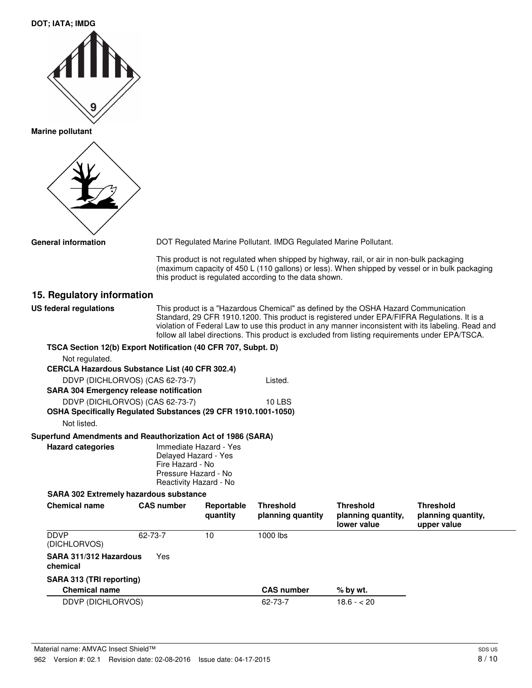| <b>DOT; IATA; IMDG</b>                                                                            |                                                                                            |                                                                                                                                                                                                                                                                                                                                                                                             |                                                                  |                                                                                           |                                                                                                |  |
|---------------------------------------------------------------------------------------------------|--------------------------------------------------------------------------------------------|---------------------------------------------------------------------------------------------------------------------------------------------------------------------------------------------------------------------------------------------------------------------------------------------------------------------------------------------------------------------------------------------|------------------------------------------------------------------|-------------------------------------------------------------------------------------------|------------------------------------------------------------------------------------------------|--|
|                                                                                                   |                                                                                            |                                                                                                                                                                                                                                                                                                                                                                                             |                                                                  |                                                                                           |                                                                                                |  |
|                                                                                                   |                                                                                            |                                                                                                                                                                                                                                                                                                                                                                                             |                                                                  |                                                                                           |                                                                                                |  |
| <b>Marine pollutant</b>                                                                           |                                                                                            |                                                                                                                                                                                                                                                                                                                                                                                             |                                                                  |                                                                                           |                                                                                                |  |
| <b>General information</b>                                                                        |                                                                                            |                                                                                                                                                                                                                                                                                                                                                                                             | DOT Regulated Marine Pollutant. IMDG Regulated Marine Pollutant. |                                                                                           |                                                                                                |  |
|                                                                                                   |                                                                                            |                                                                                                                                                                                                                                                                                                                                                                                             | this product is regulated according to the data shown.           | This product is not regulated when shipped by highway, rail, or air in non-bulk packaging | (maximum capacity of 450 L (110 gallons) or less). When shipped by vessel or in bulk packaging |  |
| 15. Regulatory information                                                                        |                                                                                            |                                                                                                                                                                                                                                                                                                                                                                                             |                                                                  |                                                                                           |                                                                                                |  |
| <b>US federal regulations</b>                                                                     |                                                                                            | This product is a "Hazardous Chemical" as defined by the OSHA Hazard Communication<br>Standard, 29 CFR 1910.1200. This product is registered under EPA/FIFRA Regulations. It is a<br>violation of Federal Law to use this product in any manner inconsistent with its labeling. Read and<br>follow all label directions. This product is excluded from listing requirements under EPA/TSCA. |                                                                  |                                                                                           |                                                                                                |  |
| TSCA Section 12(b) Export Notification (40 CFR 707, Subpt. D)                                     |                                                                                            |                                                                                                                                                                                                                                                                                                                                                                                             |                                                                  |                                                                                           |                                                                                                |  |
| Not regulated.<br><b>CERCLA Hazardous Substance List (40 CFR 302.4)</b>                           |                                                                                            |                                                                                                                                                                                                                                                                                                                                                                                             |                                                                  |                                                                                           |                                                                                                |  |
| DDVP (DICHLORVOS) (CAS 62-73-7)                                                                   |                                                                                            |                                                                                                                                                                                                                                                                                                                                                                                             | Listed.                                                          |                                                                                           |                                                                                                |  |
| <b>SARA 304 Emergency release notification</b>                                                    |                                                                                            |                                                                                                                                                                                                                                                                                                                                                                                             |                                                                  |                                                                                           |                                                                                                |  |
| DDVP (DICHLORVOS) (CAS 62-73-7)<br>OSHA Specifically Regulated Substances (29 CFR 1910.1001-1050) |                                                                                            |                                                                                                                                                                                                                                                                                                                                                                                             | <b>10 LBS</b>                                                    |                                                                                           |                                                                                                |  |
| Not listed.                                                                                       |                                                                                            |                                                                                                                                                                                                                                                                                                                                                                                             |                                                                  |                                                                                           |                                                                                                |  |
| Superfund Amendments and Reauthorization Act of 1986 (SARA)                                       |                                                                                            |                                                                                                                                                                                                                                                                                                                                                                                             |                                                                  |                                                                                           |                                                                                                |  |
| <b>Hazard categories</b>                                                                          | Delayed Hazard - Yes<br>Fire Hazard - No<br>Pressure Hazard - No<br>Reactivity Hazard - No | Immediate Hazard - Yes                                                                                                                                                                                                                                                                                                                                                                      |                                                                  |                                                                                           |                                                                                                |  |
| <b>SARA 302 Extremely hazardous substance</b>                                                     |                                                                                            |                                                                                                                                                                                                                                                                                                                                                                                             |                                                                  |                                                                                           |                                                                                                |  |
| <b>Chemical name</b>                                                                              | <b>CAS number</b>                                                                          | Reportable<br>quantity                                                                                                                                                                                                                                                                                                                                                                      | <b>Threshold</b><br>planning quantity                            | <b>Threshold</b><br>planning quantity,<br>lower value                                     | <b>Threshold</b><br>planning quantity,<br>upper value                                          |  |
| <b>DDVP</b><br>(DICHLORVOS)                                                                       | 62-73-7                                                                                    | 10                                                                                                                                                                                                                                                                                                                                                                                          | 1000 lbs                                                         |                                                                                           |                                                                                                |  |
| SARA 311/312 Hazardous<br>chemical                                                                | Yes                                                                                        |                                                                                                                                                                                                                                                                                                                                                                                             |                                                                  |                                                                                           |                                                                                                |  |
| SARA 313 (TRI reporting)                                                                          |                                                                                            |                                                                                                                                                                                                                                                                                                                                                                                             |                                                                  |                                                                                           |                                                                                                |  |
| <b>Chemical name</b>                                                                              |                                                                                            |                                                                                                                                                                                                                                                                                                                                                                                             | <b>CAS number</b>                                                | % by wt.                                                                                  |                                                                                                |  |
| DDVP (DICHLORVOS)                                                                                 |                                                                                            |                                                                                                                                                                                                                                                                                                                                                                                             | 62-73-7                                                          | $18.6 - 20$                                                                               |                                                                                                |  |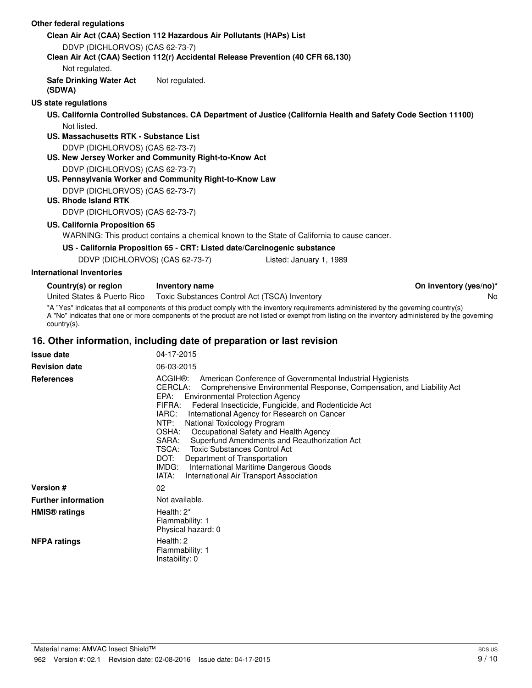| Other federal regulations                                             |                                                                                                                                |                                                                                                                                                                                                                                                                                            |                        |
|-----------------------------------------------------------------------|--------------------------------------------------------------------------------------------------------------------------------|--------------------------------------------------------------------------------------------------------------------------------------------------------------------------------------------------------------------------------------------------------------------------------------------|------------------------|
|                                                                       | Clean Air Act (CAA) Section 112 Hazardous Air Pollutants (HAPs) List                                                           |                                                                                                                                                                                                                                                                                            |                        |
| DDVP (DICHLORVOS) (CAS 62-73-7)                                       |                                                                                                                                |                                                                                                                                                                                                                                                                                            |                        |
|                                                                       | Clean Air Act (CAA) Section 112(r) Accidental Release Prevention (40 CFR 68.130)                                               |                                                                                                                                                                                                                                                                                            |                        |
| Not regulated.                                                        |                                                                                                                                |                                                                                                                                                                                                                                                                                            |                        |
| <b>Safe Drinking Water Act</b><br>(SDWA)                              | Not regulated.                                                                                                                 |                                                                                                                                                                                                                                                                                            |                        |
| <b>US state regulations</b>                                           |                                                                                                                                |                                                                                                                                                                                                                                                                                            |                        |
|                                                                       |                                                                                                                                | US. California Controlled Substances. CA Department of Justice (California Health and Safety Code Section 11100)                                                                                                                                                                           |                        |
| Not listed.<br>US. Massachusetts RTK - Substance List                 |                                                                                                                                |                                                                                                                                                                                                                                                                                            |                        |
| DDVP (DICHLORVOS) (CAS 62-73-7)                                       |                                                                                                                                |                                                                                                                                                                                                                                                                                            |                        |
|                                                                       | US. New Jersey Worker and Community Right-to-Know Act                                                                          |                                                                                                                                                                                                                                                                                            |                        |
| DDVP (DICHLORVOS) (CAS 62-73-7)                                       |                                                                                                                                |                                                                                                                                                                                                                                                                                            |                        |
|                                                                       | US. Pennsylvania Worker and Community Right-to-Know Law                                                                        |                                                                                                                                                                                                                                                                                            |                        |
| DDVP (DICHLORVOS) (CAS 62-73-7)                                       |                                                                                                                                |                                                                                                                                                                                                                                                                                            |                        |
| <b>US. Rhode Island RTK</b>                                           |                                                                                                                                |                                                                                                                                                                                                                                                                                            |                        |
| DDVP (DICHLORVOS) (CAS 62-73-7)                                       |                                                                                                                                |                                                                                                                                                                                                                                                                                            |                        |
| US. California Proposition 65                                         |                                                                                                                                |                                                                                                                                                                                                                                                                                            |                        |
|                                                                       |                                                                                                                                | WARNING: This product contains a chemical known to the State of California to cause cancer.                                                                                                                                                                                                |                        |
|                                                                       | US - California Proposition 65 - CRT: Listed date/Carcinogenic substance                                                       |                                                                                                                                                                                                                                                                                            |                        |
| DDVP (DICHLORVOS) (CAS 62-73-7)                                       |                                                                                                                                | Listed: January 1, 1989                                                                                                                                                                                                                                                                    |                        |
| <b>International Inventories</b>                                      |                                                                                                                                |                                                                                                                                                                                                                                                                                            |                        |
|                                                                       |                                                                                                                                |                                                                                                                                                                                                                                                                                            |                        |
| Country(s) or region                                                  | Inventory name                                                                                                                 |                                                                                                                                                                                                                                                                                            | On inventory (yes/no)* |
| United States & Puerto Rico                                           | Toxic Substances Control Act (TSCA) Inventory                                                                                  |                                                                                                                                                                                                                                                                                            | No                     |
| $country(s)$ .                                                        |                                                                                                                                | *A "Yes" indicates that all components of this product comply with the inventory requirements administered by the governing country(s)<br>A "No" indicates that one or more components of the product are not listed or exempt from listing on the inventory administered by the governing |                        |
| 16. Other information, including date of preparation or last revision |                                                                                                                                |                                                                                                                                                                                                                                                                                            |                        |
| <b>Issue date</b>                                                     | 04-17-2015                                                                                                                     |                                                                                                                                                                                                                                                                                            |                        |
| <b>Revision date</b>                                                  | 06-03-2015                                                                                                                     |                                                                                                                                                                                                                                                                                            |                        |
| <b>References</b>                                                     | ACGIH®:<br>CERCLA:<br>EPA:<br><b>Environmental Protection Agency</b><br>FIFRA:<br>IARC:<br>NTP:<br>National Toxicology Program | American Conference of Governmental Industrial Hygienists<br>Comprehensive Environmental Response, Compensation, and Liability Act<br>Federal Insecticide, Fungicide, and Rodenticide Act<br>International Agency for Research on Cancer                                                   |                        |

SARA: Superfund Amendments and Reauthorization Act<br>TSCA: Toxic Substances Control Act Toxic Substances Control Act DOT: Department of Transportation

IMDG: International Maritime Dangerous Goods IATA: International Air Transport Association

OSHA: Occupational Safety and Health Agency

**Version #** 02 **Further information** Not available. Health: 2\* Flammability: 1 Physical hazard: 0 **HMIS® ratings** Health: 2 Flammability: 1 Instability: 0 **NFPA ratings**